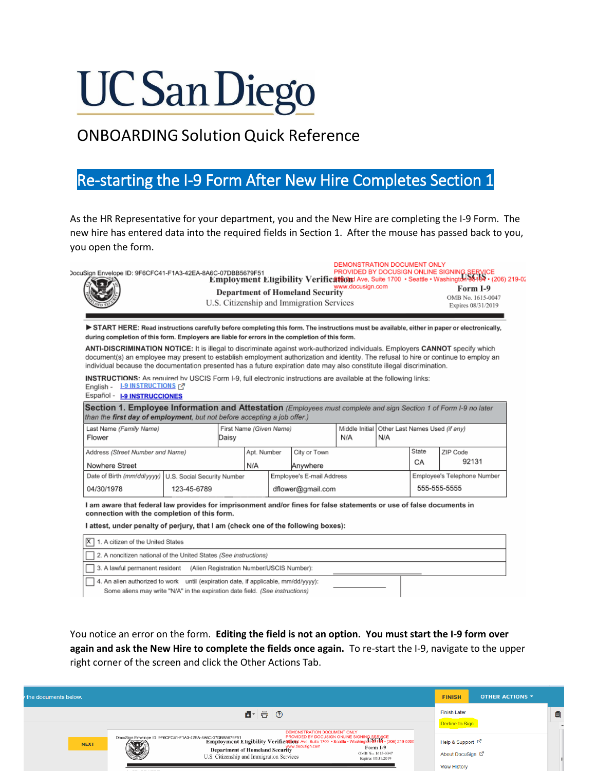# **UC San Diego**

#### ONBOARDING Solution Quick Reference

### Re-starting the I-9 Form After New Hire Completes Section 1

As the HR Representative for your department, you and the New Hire are completing the I-9 Form. The new hire has entered data into the required fields in Section 1. After the mouse has passed back to you, you open the form.

| DocuSign Envelope ID: 9F6CFC41-F1A3-42EA-8A6C-07DBB5679F51<br><b>Department of Homeland Security</b><br>U.S. Citizenship and Immigration Services | www.docusign.com | DEMONSTRATION DOCUMENT ONLY<br>AGC-07DBB5679F51 PROVIDED BY DOCUSIGN ONLINE SIGNING SERVICE<br>Employment Eligibility Verification: Ave, Suite 1700 · Seattle · Washington 98194 · (206) 219-07<br>Form I-9<br>OMB No. 1615-0047<br>Expires 08/31/2019 |
|---------------------------------------------------------------------------------------------------------------------------------------------------|------------------|--------------------------------------------------------------------------------------------------------------------------------------------------------------------------------------------------------------------------------------------------------|
| START HERE: Read instructions carefully before completing this form. The instructions must be available, either in naper or electronically        |                  |                                                                                                                                                                                                                                                        |

s must be available, either in paper or electronically, during completion of this form. Employers are liable for errors in the completion of this form.

ANTI-DISCRIMINATION NOTICE: It is illegal to discriminate against work-authorized individuals. Employers CANNOT specify which document(s) an employee may present to establish employment authorization and identity. The refusal to hire or continue to employ an individual because the documentation presented has a future expiration date may also constitute illegal discrimination.

INSTRUCTIONS: As required by USCIS Form I-9, full electronic instructions are available at the following links: English - **1-9 INSTRUCTIONS** 

|  |  | Español - <b>1-9 INSTRUCCIONES</b> |  |  |  |  |
|--|--|------------------------------------|--|--|--|--|
|  |  |                                    |  |  |  |  |

| <b>Section 1. Employee Information and Attestation</b> (Employees must complete and sign Section 1 of Form I-9 no later<br>than the first day of employment, but not before accepting a job offer.) |  |                                                            |  |  |  |
|-----------------------------------------------------------------------------------------------------------------------------------------------------------------------------------------------------|--|------------------------------------------------------------|--|--|--|
| Middle Initial   Other Last Names Used (if any)<br>  N/A                                                                                                                                            |  |                                                            |  |  |  |
|                                                                                                                                                                                                     |  | ZIP Code                                                   |  |  |  |
| N/A<br>Anywhere                                                                                                                                                                                     |  | 92131                                                      |  |  |  |
| Employee's E-mail Address                                                                                                                                                                           |  |                                                            |  |  |  |
| dflower@gmail.com                                                                                                                                                                                   |  |                                                            |  |  |  |
|                                                                                                                                                                                                     |  | State<br>CA<br>Employee's Telephone Number<br>555-555-5555 |  |  |  |

I am aware that federal law provides for imprisonment and/or fines for false statements or use of false documents in connection with the completion of this form.

I attest, under penalty of perjury, that I am (check one of the following boxes):

| $\boxed{\mathsf{X}}$ 1. A citizen of the United States                                                                                                             |  |  |
|--------------------------------------------------------------------------------------------------------------------------------------------------------------------|--|--|
| 2. A noncitizen national of the United States (See instructions)                                                                                                   |  |  |
| □ 3. A lawful permanent resident (Alien Registration Number/USCIS Number):                                                                                         |  |  |
| 4. An alien authorized to work until (expiration date, if applicable, mm/dd/yyyy):<br>Some aliens may write "N/A" in the expiration date field. (See instructions) |  |  |

You notice an error on the form. **Editing the field is not an option. You must start the I-9 form over again and ask the New Hire to complete the fields once again.** To re-start the I-9, navigate to the upper right corner of the screen and click the Other Actions Tab.

| the documents below.                                                                                                                                                                                                                                                                                                                                                                                                                                                                                  | <b>OTHER ACTIONS *</b><br><b>FINISH</b> |   |
|-------------------------------------------------------------------------------------------------------------------------------------------------------------------------------------------------------------------------------------------------------------------------------------------------------------------------------------------------------------------------------------------------------------------------------------------------------------------------------------------------------|-----------------------------------------|---|
| $1 - 50$                                                                                                                                                                                                                                                                                                                                                                                                                                                                                              | <b>Finish Later</b>                     | 目 |
|                                                                                                                                                                                                                                                                                                                                                                                                                                                                                                       | Decline to Sign                         |   |
| DEMONSTRATION DOCUMENT ONLY<br>PROVIDED BY DOCUSIGN ONLINE SIGNING SERVICE لـPROVIDED BY DOCUSIGN ONLINE SIGNING SERVICE<br>• Employment Eligibility Verification: Ave, Suite 1700 • Seattle • Washington 961b4 • (206) 219-0200<br>DocuSign Envelope ID: 9F6CFC41-F1A3-42EA-8A6C-07DBB5679F51<br><b>NEXT</b><br>Department of Homeland Security<br><sub>City</sub> Constant of Homeland Security<br>Form I-9<br>OMB No. 1615-0047<br>U.S. Citizenship and Immigration Services<br>Expires 08/31/2019 | Help & Support L'<br>About DocuSign L'  |   |
|                                                                                                                                                                                                                                                                                                                                                                                                                                                                                                       | <b>View History</b>                     |   |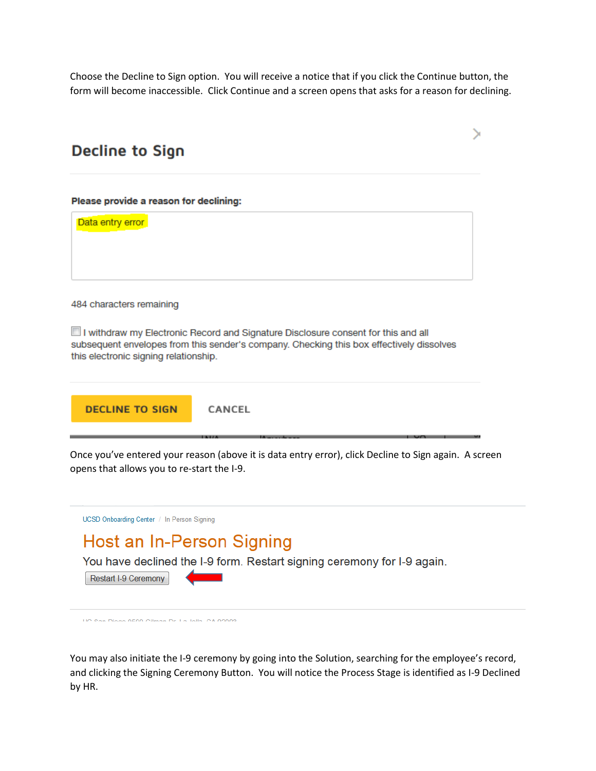Choose the Decline to Sign option. You will receive a notice that if you click the Continue button, the form will become inaccessible. Click Continue and a screen opens that asks for a reason for declining.

#### **Decline to Sign**

Please provide a reason for declining:

Data entry error

484 characters remaining

I withdraw my Electronic Record and Signature Disclosure consent for this and all subsequent envelopes from this sender's company. Checking this box effectively dissolves this electronic signing relationship.

**DECLINE TO SIGN** 

CANCEL

Once you've entered your reason (above it is data entry error), click Decline to Sign again. A screen opens that allows you to re-start the I-9.

UCSD Onboarding Center / In Person Signing

## **Host an In-Person Signing**

You have declined the I-9 form. Restart signing ceremony for I-9 again.

Restart I-9 Ceremony

UC Pan Diono 0600 Cilman Dr. La Jolla, CA 00009

You may also initiate the I-9 ceremony by going into the Solution, searching for the employee's record, and clicking the Signing Ceremony Button. You will notice the Process Stage is identified as I-9 Declined by HR.

⋋